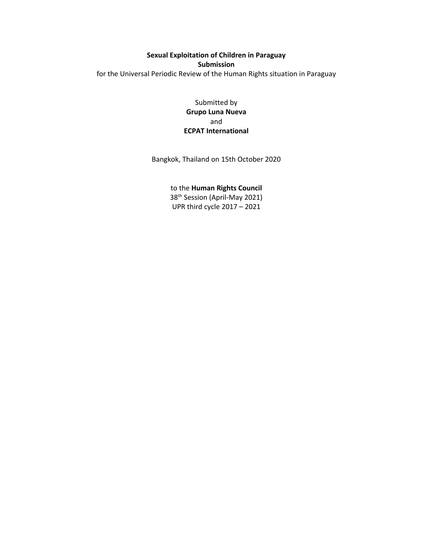# **Sexual Exploitation of Children in Paraguay Submission** for the Universal Periodic Review of the Human Rights situation in Paraguay

Submitted by **Grupo Luna Nueva** and **ECPAT International**

Bangkok, Thailand on 15th October 2020

to the **Human Rights Council**

38th Session (April-May 2021) UPR third cycle 2017 – 2021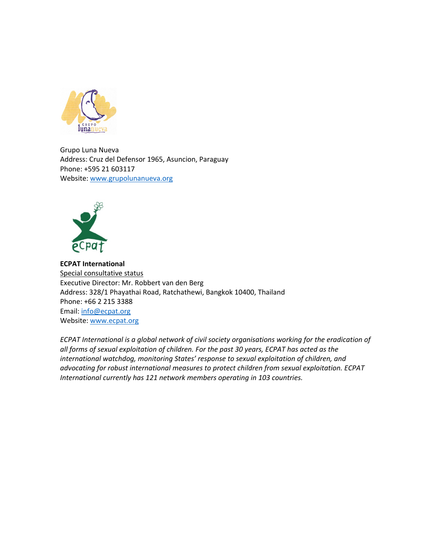

Grupo Luna Nueva Address: Cruz del Defensor 1965, Asuncion, Paraguay Phone: +595 21 603117 Website: [www.](http://www.ecpat.org)grupolunanueva.org



**ECPAT International** Special consultative status Executive Director: Mr. Robbert van den Berg Address: 328/1 Phayathai Road, Ratchathewi, Bangkok 10400, Thailand Phone: +66 2 215 3388 Email: [info@ecpat.org](mailto:info@ecpat.org) Website: [www.ecpat.org](http://www.ecpat.org)

*ECPAT International is <sup>a</sup> global network of civil society organisations working for the eradication of all forms of sexual exploitation of children. For the past 30 years, ECPAT has acted as the international watchdog, monitoring States' response to sexual exploitation of children, and advocating for robust international measures to protect children from sexual exploitation. ECPAT International currently has 121 network members operating in 103 countries.*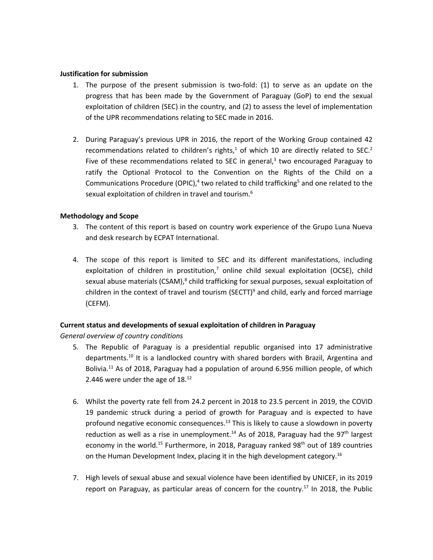#### **Justification for submission**

- 1. The purpose of the present submission is two-fold: (1) to serve as an update on the progress that has been made by the Government of Paraguay (GoP) to end the sexual exploitation of children (SEC) in the country, and (2) to assess the level of implementation of the UPR recommendations relating to SEC made in 2016.
- 2. During Paraguay'<sup>s</sup> previous UPR in 2016, the report of the Working Group contained 42 recommendations related to children's rights,<sup>1</sup> of which 10 are directly related to SEC.<sup>2</sup> Five of these recommendations related to SEC in general,<sup>3</sup> two encouraged Paraguay to ratify the Optional Protocol to the Convention on the Rights of the Child on <sup>a</sup> Communications Procedure (OPIC),<sup>4</sup> two related to child trafficking<sup>5</sup> and one related to the sexual exploitation of children in travel and tourism. 6

## **Methodology and Scope**

- 3. The content of this report is based on country work experience of the Grupo Luna Nueva and desk research by ECPAT International.
- 4. The scope of this report is limited to SEC and its different manifestations, including exploitation of children in prostitution,<sup>7</sup> online child sexual exploitation (OCSE), child sexual abuse materials (CSAM), $^8$  child trafficking for sexual purposes, sexual exploitation of children in the context of travel and tourism (SECTT)<sup>9</sup> and child, early and forced marriage (CEFM).

## **Current status and developments of sexual exploitation of children in Paraguay**

*General overview of country conditions*

- 5. The Republic of Paraguay is <sup>a</sup> presidential republic organised into 17 administrative departments.<sup>10</sup> It is a landlocked country with shared borders with Brazil, Argentina and Bolivia.<sup>11</sup> As of 2018, Paraguay had a population of around 6.956 million people, of which 2.446 were under the age of 18. $^{12}$
- 6. Whilst the poverty rate fell from 24.2 percent in 2018 to 23.5 percent in 2019, the COVID 19 pandemic struck during <sup>a</sup> period of growth for Paraguay and is expected to have profound negative economic consequences.<sup>13</sup> This is likely to cause a slowdown in poverty reduction as well as a rise in unemployment.<sup>14</sup> As of 2018, Paraguay had the 97<sup>th</sup> largest economy in the world.<sup>15</sup> Furthermore, in 2018, Paraguay ranked 98<sup>th</sup> out of 189 countries on the Human Development Index, placing it in the high development category.<sup>16</sup>
- 7. High levels of sexual abuse and sexual violence have been identified by UNICEF, in its 2019 report on Paraguay, as particular areas of concern for the country. 17 In 2018, the Public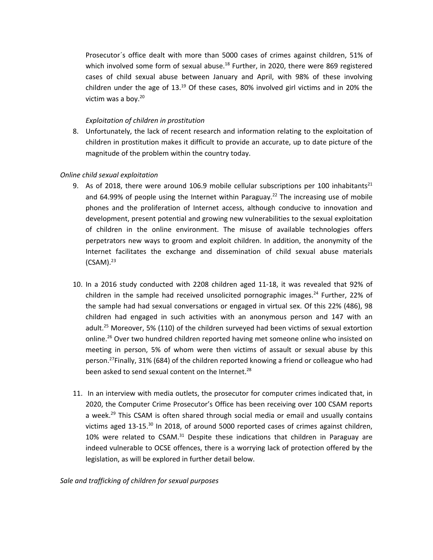Prosecutor´s office dealt with more than 5000 cases of crimes against children, 51% of which involved some form of sexual abuse.<sup>18</sup> Further, in 2020, there were 869 registered cases of child sexual abuse between January and April, with 98% of these involving children under the age of 13.<sup>19</sup> Of these cases, 80% involved girl victims and in 20% the victim was <sup>a</sup> boy. 20

## *Exploitation of children in prostitution*

8. Unfortunately, the lack of recent research and information relating to the exploitation of children in prostitution makes it difficult to provide an accurate, up to date picture of the magnitude of the problem within the country today.

## *Online child sexual exploitation*

- 9. As of 2018, there were around 106.9 mobile cellular subscriptions per 100 inhabitants<sup>21</sup> and 64.99% of people using the Internet within Paraguay.<sup>22</sup> The increasing use of mobile phones and the proliferation of Internet access, although conducive to innovation and development, present potential and growing new vulnerabilities to the sexual exploitation of children in the online environment. The misuse of available technologies offers perpetrators new ways to groom and exploit children. In addition, the anonymity of the Internet facilitates the exchange and dissemination of child sexual abuse materials (CSAM).<sup>23</sup>
- 10. In <sup>a</sup> 2016 study conducted with 2208 children aged 11-18, it was revealed that 92% of children in the sample had received unsolicited pornographic images.<sup>24</sup> Further, 22% of the sample had had sexual conversations or engaged in virtual sex. Of this 22% (486), 98 children had engaged in such activities with an anonymous person and 147 with an adult. <sup>25</sup> Moreover, 5% (110) of the children surveyed had been victims of sexual extortion online.<sup>26</sup> Over two hundred children reported having met someone online who insisted on meeting in person, 5% of whom were then victims of assault or sexual abuse by this person.<sup>27</sup>Finally, 31% (684) of the children reported knowing a friend or colleague who had been asked to send sexual content on the Internet.<sup>28</sup>
- 11. In an interview with media outlets, the prosecutor for computer crimes indicated that, in 2020, the Computer Crime Prosecutor'<sup>s</sup> Office has been receiving over 100 CSAM reports a week.<sup>29</sup> This CSAM is often shared through social media or email and usually contains victims aged 13-15.<sup>30</sup> In 2018, of around 5000 reported cases of crimes against children, 10% were related to CSAM.<sup>31</sup> Despite these indications that children in Paraguay are indeed vulnerable to OCSE offences, there is <sup>a</sup> worrying lack of protection offered by the legislation, as will be explored in further detail below.

## *Sale and trafficking of children for sexual purposes*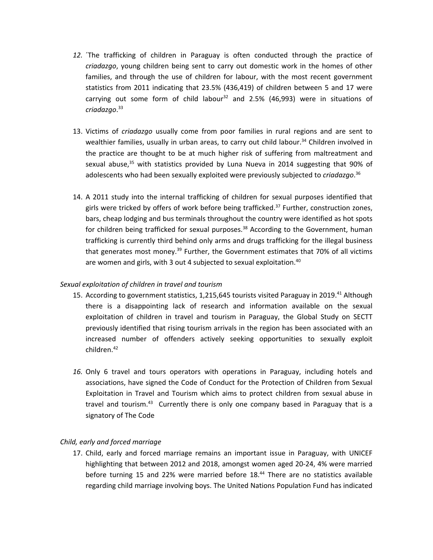- *12.* ´The trafficking of children in Paraguay is often conducted through the practice of *criadazgo*, young children being sent to carry out domestic work in the homes of other families, and through the use of children for labour, with the most recent government statistics from 2011 indicating that 23.5% (436,419) of children between 5 and 17 were carrying out some form of child labour<sup>32</sup> and 2.5% (46,993) were in situations of *criadazgo*. 33
- 13. Victims of *criadazgo* usually come from poor families in rural regions and are sent to wealthier families, usually in urban areas, to carry out child labour. 34 Children involved in the practice are thought to be at much higher risk of suffering from maltreatment and sexual abuse,<sup>35</sup> with statistics provided by Luna Nueva in 2014 suggesting that 90% of adolescents who had been sexually exploited were previously subjected to *criadazgo*. 36
- 14. A 2011 study into the internal trafficking of children for sexual purposes identified that girls were tricked by offers of work before being trafficked.<sup>37</sup> Further, construction zones, bars, cheap lodging and bus terminals throughout the country were identified as hot spots for children being trafficked for sexual purposes.<sup>38</sup> According to the Government, human trafficking is currently third behind only arms and drugs trafficking for the illegal business that generates most money.<sup>39</sup> Further, the Government estimates that 70% of all victims are women and girls, with 3 out 4 subjected to sexual exploitation. 40

## *Sexual exploitation of children in travel and tourism*

- 15. According to government statistics, 1,215,645 tourists visited Paraguay in 2019.<sup>41</sup> Although there is <sup>a</sup> disappointing lack of research and information available on the sexual exploitation of children in travel and tourism in Paraguay, the Global Study on SECTT previously identified that rising tourism arrivals in the region has been associated with an increased number of offenders actively seeking opportunities to sexually exploit children. 42
- *16.* Only 6 travel and tours operators with operations in Paraguay, including hotels and associations, have signed the Code of Conduct for the Protection of Children from Sexual Exploitation in Travel and Tourism which aims to protect children from sexual abuse in travel and tourism.<sup>43</sup> Currently there is only one company based in Paraguay that is a signatory of The Code

## *Child, early and forced marriage*

17. Child, early and forced marriage remains an important issue in Paraguay, with UNICEF highlighting that between 2012 and 2018, amongst women aged 20-24, 4% were married before turning 15 and 22% were married before 18. 44 There are no statistics available regarding child marriage involving boys. The United Nations Population Fund has indicated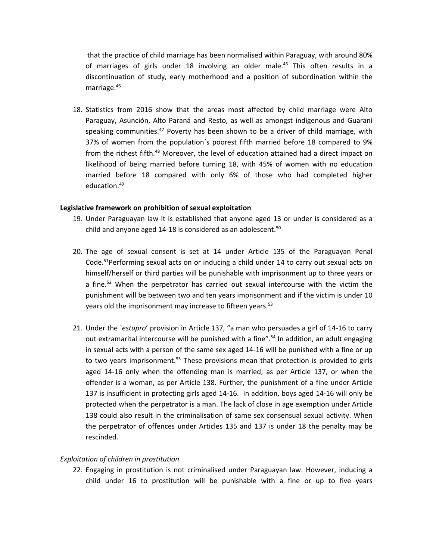that the practice of child marriage has been normalised within Paraguay, with around 80% of marriages of girls under 18 involving an older male.<sup>45</sup> This often results in a discontinuation of study, early motherhood and <sup>a</sup> position of subordination within the marriage. 46

18. Statistics from 2016 show that the areas most affected by child marriage were Alto Paraguay, Asunción, Alto Paraná and Resto, as well as amongst indigenous and Guarani speaking communities.<sup>47</sup> Poverty has been shown to be a driver of child marriage, with 37% of women from the population´s poorest fifth married before 18 compared to 9% from the richest fifth.<sup>48</sup> Moreover, the level of education attained had a direct impact on likelihood of being married before turning 18, with 45% of women with no education married before 18 compared with only 6% of those who had completed higher education. 49

#### **Legislative framework on prohibition of sexual exploitation**

- 19. Under Paraguayan law it is established that anyone aged 13 or under is considered as <sup>a</sup> child and anyone aged 14-18 is considered as an adolescent.  $50$
- 20. The age of sexual consent is set at 14 under Article 135 of the Paraguayan Penal Code. 51 Performing sexual acts on or inducing <sup>a</sup> child under 14 to carry out sexual acts on himself/herself or third parties will be punishable with imprisonment up to three years or a fine.<sup>52</sup> When the perpetrator has carried out sexual intercourse with the victim the punishment will be between two and ten years imprisonment and if the victim is under 10 years old the imprisonment may increase to fifteen years.<sup>53</sup>
- 21. Under the ´*estupro*' provision in Article 137, "<sup>a</sup> man who persuades <sup>a</sup> girl of 14-16 to carry out extramarital intercourse will be punished with a fine".<sup>54</sup> In addition, an adult engaging in sexual acts with <sup>a</sup> person of the same sex aged 14-16 will be punished with <sup>a</sup> fine or up to two years imprisonment. 55 These provisions mean that protection is provided to girls aged 14-16 only when the offending man is married, as per Article 137, or when the offender is <sup>a</sup> woman, as per Article 138. Further, the punishment of <sup>a</sup> fine under Article 137 is insufficient in protecting girls aged 14-16. In addition, boys aged 14-16 will only be protected when the perpetrator is <sup>a</sup> man. The lack of close in age exemption under Article 138 could also result in the criminalisation of same sex consensual sexual activity. When the perpetrator of offences under Articles 135 and 137 is under 18 the penalty may be rescinded.

## *Exploitation of children in prostitution*

22. Engaging in prostitution is not criminalised under Paraguayan law. However, inducing <sup>a</sup> child under 16 to prostitution will be punishable with <sup>a</sup> fine or up to five years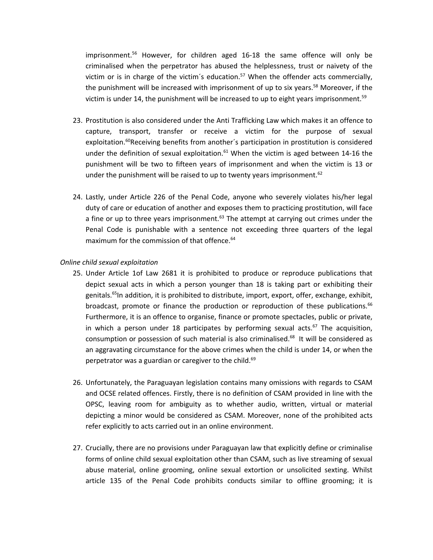imprisonment. 56 However, for children aged 16-18 the same offence will only be criminalised when the perpetrator has abused the helplessness, trust or naivety of the victim or is in charge of the victim's education.<sup>57</sup> When the offender acts commercially, the punishment will be increased with imprisonment of up to six years.<sup>58</sup> Moreover, if the victim is under 14, the punishment will be increased to up to eight years imprisonment.<sup>59</sup>

- 23. Prostitution is also considered under the Anti Trafficking Law which makes it an offence to capture, transport, transfer or receive <sup>a</sup> victim for the purpose of sexual exploitation. 60 Receiving benefits from another´s participation in prostitution is considered under the definition of sexual exploitation. $^{61}$  When the victim is aged between 14-16 the punishment will be two to fifteen years of imprisonment and when the victim is 13 or under the punishment will be raised to up to twenty years imprisonment.  $62$
- 24. Lastly, under Article 226 of the Penal Code, anyone who severely violates his/her legal duty of care or education of another and exposes them to practicing prostitution, will face a fine or up to three years imprisonment. $^{63}$  The attempt at carrying out crimes under the Penal Code is punishable with <sup>a</sup> sentence not exceeding three quarters of the legal maximum for the commission of that offence. 64

#### *Online child sexual exploitation*

- 25. Under Article 1of Law 2681 it is prohibited to produce or reproduce publications that depict sexual acts in which <sup>a</sup> person younger than 18 is taking part or exhibiting their genitals.<sup>65</sup>In addition, it is prohibited to distribute, import, export, offer, exchange, exhibit, broadcast, promote or finance the production or reproduction of these publications.<sup>66</sup> Furthermore, it is an offence to organise, finance or promote spectacles, public or private, in which a person under 18 participates by performing sexual acts.<sup>67</sup> The acquisition, consumption or possession of such material is also criminalised.<sup>68</sup> It will be considered as an aggravating circumstance for the above crimes when the child is under 14, or when the perpetrator was a guardian or caregiver to the child.<sup>69</sup>
- 26. Unfortunately, the Paraguayan legislation contains many omissions with regards to CSAM and OCSE related offences. Firstly, there is no definition of CSAM provided in line with the OPSC, leaving room for ambiguity as to whether audio, written, virtual or material depicting <sup>a</sup> minor would be considered as CSAM. Moreover, none of the prohibited acts refer explicitly to acts carried out in an online environment.
- 27. Crucially, there are no provisions under Paraguayan law that explicitly define or criminalise forms of online child sexual exploitation other than CSAM, such as live streaming of sexual abuse material, online grooming, online sexual extortion or unsolicited sexting. Whilst article 135 of the Penal Code prohibits conducts similar to offline grooming; it is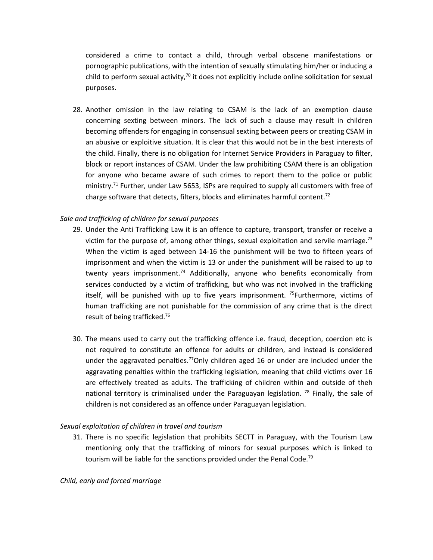considered <sup>a</sup> crime to contact <sup>a</sup> child, through verbal obscene manifestations or pornographic publications, with the intention of sexually stimulating him/her or inducing <sup>a</sup> child to perform sexual activity,<sup>70</sup> it does not explicitly include online solicitation for sexual purposes.

28. Another omission in the law relating to CSAM is the lack of an exemption clause concerning sexting between minors. The lack of such <sup>a</sup> clause may result in children becoming offenders for engaging in consensual sexting between peers or creating CSAM in an abusive or exploitive situation. It is clear that this would not be in the best interests of the child. Finally, there is no obligation for Internet Service Providers in Paraguay to filter, block or report instances of CSAM. Under the law prohibiting CSAM there is an obligation for anyone who became aware of such crimes to report them to the police or public ministry.<sup>71</sup> Further, under Law 5653, ISPs are required to supply all customers with free of charge software that detects, filters, blocks and eliminates harmful content.<sup>72</sup>

## *Sale and trafficking of children for sexual purposes*

- 29. Under the Anti Trafficking Law it is an offence to capture, transport, transfer or receive <sup>a</sup> victim for the purpose of, among other things, sexual exploitation and servile marriage.<sup>73</sup> When the victim is aged between 14-16 the punishment will be two to fifteen years of imprisonment and when the victim is 13 or under the punishment will be raised to up to twenty years imprisonment.<sup>74</sup> Additionally, anyone who benefits economically from services conducted by <sup>a</sup> victim of trafficking, but who was not involved in the trafficking itself, will be punished with up to five years imprisonment. <sup>75</sup>Furthermore, victims of human trafficking are not punishable for the commission of any crime that is the direct result of being trafficked. 76
- 30. The means used to carry out the trafficking offence i.e. fraud, deception, coercion etc is not required to constitute an offence for adults or children, and instead is considered under the aggravated penalties.<sup>77</sup>Only children aged 16 or under are included under the aggravating penalties within the trafficking legislation, meaning that child victims over 16 are effectively treated as adults. The trafficking of children within and outside of theh national territory is criminalised under the Paraguayan legislation.<sup>78</sup> Finally, the sale of children is not considered as an offence under Paraguayan legislation.

#### *Sexual exploitation of children in travel and tourism*

31. There is no specific legislation that prohibits SECTT in Paraguay, with the Tourism Law mentioning only that the trafficking of minors for sexual purposes which is linked to tourism will be liable for the sanctions provided under the Penal Code.<sup>79</sup>

## *Child, early and forced marriage*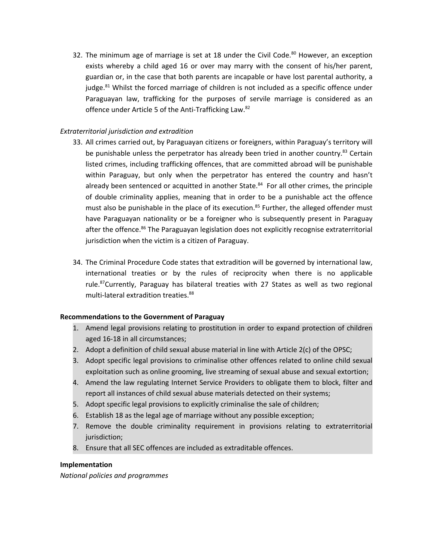32. The minimum age of marriage is set at 18 under the Civil Code. $^{80}$  However, an exception exists whereby <sup>a</sup> child aged 16 or over may marry with the consent of his/her parent, guardian or, in the case that both parents are incapable or have lost parental authority, <sup>a</sup> judge.<sup>81</sup> Whilst the forced marriage of children is not included as a specific offence under Paraguayan law, trafficking for the purposes of servile marriage is considered as an offence under Article 5 of the Anti-Trafficking Law.<sup>82</sup>

## *Extraterritorial jurisdiction and extradition*

- 33. All crimes carried out, by Paraguayan citizens or foreigners, within Paraguay'<sup>s</sup> territory will be punishable unless the perpetrator has already been tried in another country.<sup>83</sup> Certain listed crimes, including trafficking offences, that are committed abroad will be punishable within Paraguay, but only when the perpetrator has entered the country and hasn'<sup>t</sup> already been sentenced or acquitted in another State.<sup>84</sup> For all other crimes, the principle of double criminality applies, meaning that in order to be <sup>a</sup> punishable act the offence must also be punishable in the place of its execution.<sup>85</sup> Further, the alleged offender must have Paraguayan nationality or be <sup>a</sup> foreigner who is subsequently present in Paraguay after the offence.<sup>86</sup> The Paraguayan legislation does not explicitly recognise extraterritorial jurisdiction when the victim is <sup>a</sup> citizen of Paraguay.
- 34. The Criminal Procedure Code states that extradition will be governed by international law, international treaties or by the rules of reciprocity when there is no applicable rule.<sup>87</sup>Currently, Paraguay has bilateral treaties with 27 States as well as two regional multi-lateral extradition treaties. 88

## **Recommendations to the Government of Paraguay**

- 1. Amend legal provisions relating to prostitution in order to expand protection of children aged 16-18 in all circumstances;
- 2. Adopt <sup>a</sup> definition of child sexual abuse material in line with Article 2(c) of the OPSC;
- 3. Adopt specific legal provisions to criminalise other offences related to online child sexual exploitation such as online grooming, live streaming of sexual abuse and sexual extortion;
- 4. Amend the law regulating Internet Service Providers to obligate them to block, filter and report all instances of child sexual abuse materials detected on their systems;
- 5. Adopt specific legal provisions to explicitly criminalise the sale of children;
- 6. Establish 18 as the legal age of marriage without any possible exception;
- 7. Remove the double criminality requirement in provisions relating to extraterritorial jurisdiction;
- 8. Ensure that all SEC offences are included as extraditable offences.

## **Implementation**

*National policies and programmes*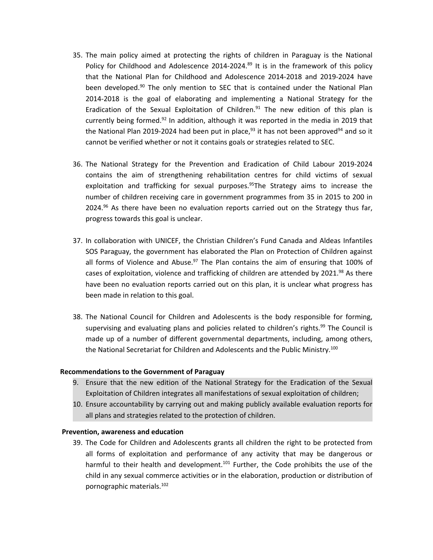- 35. The main policy aimed at protecting the rights of children in Paraguay is the National Policy for Childhood and Adolescence 2014-2024.<sup>89</sup> It is in the framework of this policy that the National Plan for Childhood and Adolescence 2014-2018 and 2019-2024 have been developed.<sup>90</sup> The only mention to SEC that is contained under the National Plan 2014-2018 is the goal of elaborating and implementing <sup>a</sup> National Strategy for the Eradication of the Sexual Exploitation of Children.<sup>91</sup> The new edition of this plan is currently being formed.<sup>92</sup> In addition, although it was reported in the media in 2019 that the National Plan 2019-2024 had been put in place,<sup>93</sup> it has not been approved<sup>94</sup> and so it cannot be verified whether or not it contains goals or strategies related to SEC.
- 36. The National Strategy for the Prevention and Eradication of Child Labour 2019-2024 contains the aim of strengthening rehabilitation centres for child victims of sexual exploitation and trafficking for sexual purposes.<sup>95</sup>The Strategy aims to increase the number of children receiving care in government programmes from 35 in 2015 to 200 in 2024.<sup>96</sup> As there have been no evaluation reports carried out on the Strategy thus far, progress towards this goal is unclear.
- 37. In collaboration with UNICEF, the Christian Children'<sup>s</sup> Fund Canada and Aldeas Infantiles SOS Paraguay, the government has elaborated the Plan on Protection of Children against all forms of Violence and Abuse.<sup>97</sup> The Plan contains the aim of ensuring that 100% of cases of exploitation, violence and trafficking of children are attended by 2021.<sup>98</sup> As there have been no evaluation reports carried out on this plan, it is unclear what progress has been made in relation to this goal.
- 38. The National Council for Children and Adolescents is the body responsible for forming, supervising and evaluating plans and policies related to children's rights.<sup>99</sup> The Council is made up of <sup>a</sup> number of different governmental departments, including, among others, the National Secretariat for Children and Adolescents and the Public Ministry.<sup>100</sup>

#### **Recommendations to the Government of Paraguay**

- 9. Ensure that the new edition of the National Strategy for the Eradication of the Sexual Exploitation of Children integrates all manifestations of sexual exploitation of children;
- 10. Ensure accountability by carrying out and making publicly available evaluation reports for all plans and strategies related to the protection of children.

#### **Prevention, awareness and education**

39. The Code for Children and Adolescents grants all children the right to be protected from all forms of exploitation and performance of any activity that may be dangerous or harmful to their health and development.<sup>101</sup> Further, the Code prohibits the use of the child in any sexual commerce activities or in the elaboration, production or distribution of pornographic materials. 102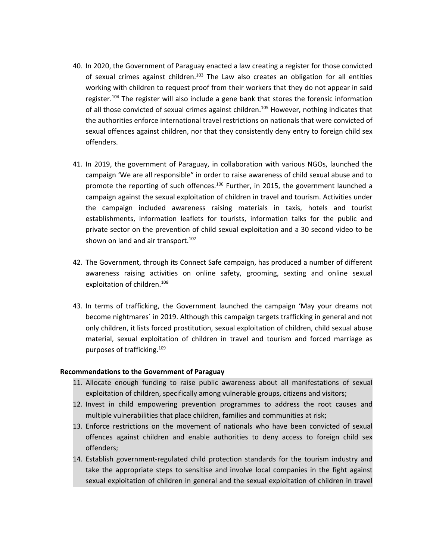- 40. In 2020, the Government of Paraguay enacted <sup>a</sup> law creating <sup>a</sup> register for those convicted of sexual crimes against children.<sup>103</sup> The Law also creates an obligation for all entities working with children to request proof from their workers that they do not appear in said register.<sup>104</sup> The register will also include a gene bank that stores the forensic information of all those convicted of sexual crimes against children.<sup>105</sup> However, nothing indicates that the authorities enforce international travel restrictions on nationals that were convicted of sexual offences against children, nor that they consistently deny entry to foreign child sex offenders.
- 41. In 2019, the government of Paraguay, in collaboration with various NGOs, launched the campaign 'We are all responsible" in order to raise awareness of child sexual abuse and to promote the reporting of such offences.<sup>106</sup> Further, in 2015, the government launched a campaign against the sexual exploitation of children in travel and tourism. Activities under the campaign included awareness raising materials in taxis, hotels and tourist establishments, information leaflets for tourists, information talks for the public and private sector on the prevention of child sexual exploitation and <sup>a</sup> 30 second video to be shown on land and air transport.<sup>107</sup>
- 42. The Government, through its Connect Safe campaign, has produced <sup>a</sup> number of different awareness raising activities on online safety, grooming, sexting and online sexual exploitation of children.<sup>108</sup>
- 43. In terms of trafficking, the Government launched the campaign 'May your dreams not become nightmares´ in 2019. Although this campaign targets trafficking in general and not only children, it lists forced prostitution, sexual exploitation of children, child sexual abuse material, sexual exploitation of children in travel and tourism and forced marriage as purposes of trafficking. 109

#### **Recommendations to the Government of Paraguay**

- 11. Allocate enough funding to raise public awareness about all manifestations of sexual exploitation of children, specifically among vulnerable groups, citizens and visitors;
- 12. Invest in child empowering prevention programmes to address the root causes and multiple vulnerabilities that place children, families and communities at risk;
- 13. Enforce restrictions on the movement of nationals who have been convicted of sexual offences against children and enable authorities to deny access to foreign child sex offenders;
- 14. Establish government-regulated child protection standards for the tourism industry and take the appropriate steps to sensitise and involve local companies in the fight against sexual exploitation of children in general and the sexual exploitation of children in travel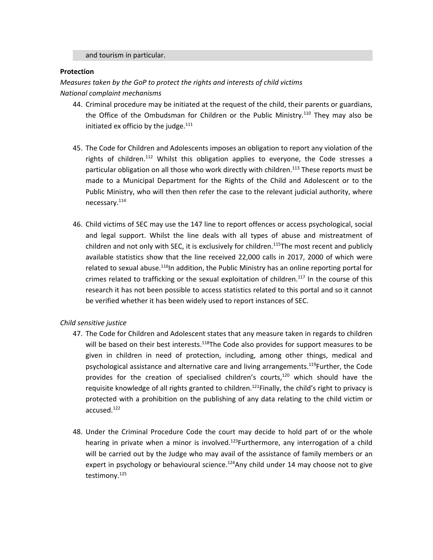and tourism in particular.

#### **Protection**

*Measures taken by the GoP to protect the rights and interests of child victims*

*National complaint mechanisms*

- 44. Criminal procedure may be initiated at the request of the child, their parents or guardians, the Office of the Ombudsman for Children or the Public Ministry.<sup>110</sup> They may also be initiated ex officio by the judge. $^{111}$
- 45. The Code for Children and Adolescents imposes an obligation to report any violation of the rights of children.<sup>112</sup> Whilst this obligation applies to everyone, the Code stresses a particular obligation on all those who work directly with children.<sup>113</sup> These reports must be made to <sup>a</sup> Municipal Department for the Rights of the Child and Adolescent or to the Public Ministry, who will then then refer the case to the relevant judicial authority, where necessary.<sup>114</sup>
- 46. Child victims of SEC may use the 147 line to report offences or access psychological, social and legal support. Whilst the line deals with all types of abuse and mistreatment of children and not only with SEC, it is exclusively for children.<sup>115</sup>The most recent and publicly available statistics show that the line received 22,000 calls in 2017, 2000 of which were related to sexual abuse.<sup>116</sup>In addition, the Public Ministry has an online reporting portal for crimes related to trafficking or the sexual exploitation of children.<sup>117</sup> In the course of this research it has not been possible to access statistics related to this portal and so it cannot be verified whether it has been widely used to report instances of SEC.

## *Child sensitive justice*

- 47. The Code for Children and Adolescent states that any measure taken in regards to children will be based on their best interests.<sup>118</sup>The Code also provides for support measures to be given in children in need of protection, including, among other things, medical and psychological assistance and alternative care and living arrangements.<sup>119</sup>Further, the Code provides for the creation of specialised children's courts,<sup>120</sup> which should have the requisite knowledge of all rights granted to children.<sup>121</sup>Finally, the child's right to privacy is protected with <sup>a</sup> prohibition on the publishing of any data relating to the child victim or accused.<sup>122</sup>
- 48. Under the Criminal Procedure Code the court may decide to hold part of or the whole hearing in private when a minor is involved.<sup>123</sup>Furthermore, any interrogation of a child will be carried out by the Judge who may avail of the assistance of family members or an expert in psychology or behavioural science.<sup>124</sup>Any child under 14 may choose not to give testimony.<sup>125</sup>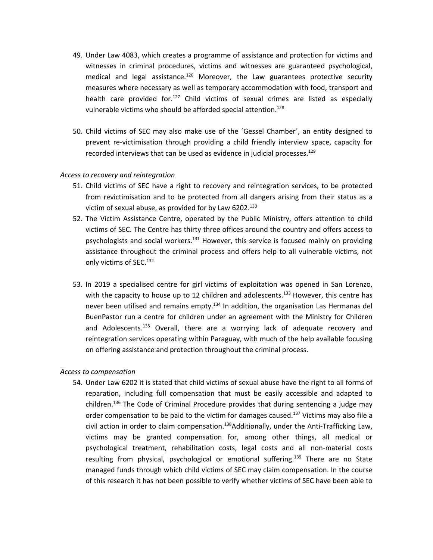- 49. Under Law 4083, which creates <sup>a</sup> programme of assistance and protection for victims and witnesses in criminal procedures, victims and witnesses are guaranteed psychological, medical and legal assistance.<sup>126</sup> Moreover, the Law guarantees protective security measures where necessary as well as temporary accommodation with food, transport and health care provided for.<sup>127</sup> Child victims of sexual crimes are listed as especially vulnerable victims who should be afforded special attention.<sup>128</sup>
- 50. Child victims of SEC may also make use of the ´Gessel Chamber´, an entity designed to prevent re-victimisation through providing <sup>a</sup> child friendly interview space, capacity for recorded interviews that can be used as evidence in judicial processes.<sup>129</sup>

#### *Access to recovery and reintegration*

- 51. Child victims of SEC have <sup>a</sup> right to recovery and reintegration services, to be protected from revictimisation and to be protected from all dangers arising from their status as <sup>a</sup> victim of sexual abuse, as provided for by Law 6202. 130
- 52. The Victim Assistance Centre, operated by the Public Ministry, offers attention to child victims of SEC. The Centre has thirty three offices around the country and offers access to psychologists and social workers.<sup>131</sup> However, this service is focused mainly on providing assistance throughout the criminal process and offers help to all vulnerable victims, not only victims of SEC.<sup>132</sup>
- 53. In 2019 <sup>a</sup> specialised centre for girl victims of exploitation was opened in San Lorenzo, with the capacity to house up to 12 children and adolescents.<sup>133</sup> However, this centre has never been utilised and remains empty.<sup>134</sup> In addition, the organisation Las Hermanas del BuenPastor run <sup>a</sup> centre for children under an agreement with the Ministry for Children and Adolescents.<sup>135</sup> Overall, there are a worrying lack of adequate recovery and reintegration services operating within Paraguay, with much of the help available focusing on offering assistance and protection throughout the criminal process.

## *Access to compensation*

54. Under Law 6202 it is stated that child victims of sexual abuse have the right to all forms of reparation, including full compensation that must be easily accessible and adapted to children.<sup>136</sup> The Code of Criminal Procedure provides that during sentencing a judge may order compensation to be paid to the victim for damages caused.<sup>137</sup> Victims may also file a civil action in order to claim compensation.<sup>138</sup>Additionally, under the Anti-Trafficking Law, victims may be granted compensation for, among other things, all medical or psychological treatment, rehabilitation costs, legal costs and all non-material costs resulting from physical, psychological or emotional suffering. 139 There are no State managed funds through which child victims of SEC may claim compensation. In the course of this research it has not been possible to verify whether victims of SEC have been able to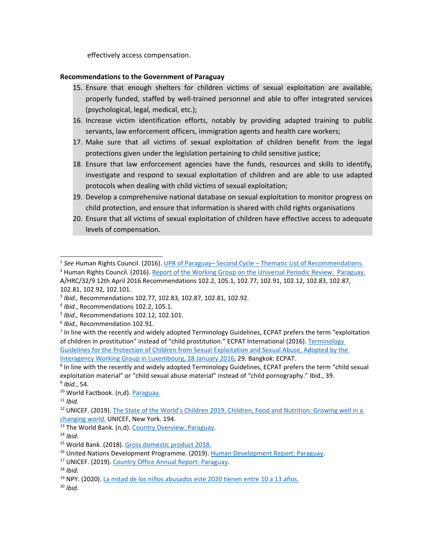effectively access compensation.

#### **Recommendations to the Government of Paraguay**

- 15. Ensure that enough shelters for children victims of sexual exploitation are available, properly funded, staffed by well-trained personnel and able to offer integrated services (psychological, legal, medical, etc.);
- 16. Increase victim identification efforts, notably by providing adapted training to public servants, law enforcement officers, immigration agents and health care workers;
- 17. Make sure that all victims of sexual exploitation of children benefit from the legal protections given under the legislation pertaining to child sensitive justice;
- 18. Ensure that law enforcement agencies have the funds, resources and skills to identify, investigate and respond to sexual exploitation of children and are able to use adapted protocols when dealing with child victims of sexual exploitation;
- 19. Develop <sup>a</sup> comprehensive national database on sexual exploitation to monitor progress on child protection, and ensure that information is shared with child rights organisations
- 20. Ensure that all victims of sexual exploitation of children have effective access to adequate levels of compensation.

20 *Ibid*.

<sup>1</sup> *See* Human Rights Council. (2016). UPR of Paraguay– Second Cycle – Thematic List of [Recommendations.](http://lib.ohchr.org/HRBodies/UPR/Documents/session24/PY/UPR24_Paraguay_recommendations.docx)

<sup>&</sup>lt;sup>2</sup> Human Rights Council. (2016). Report of the Working Group on the Universal Periodic Review: [Paraguay.](http://daccess-ods.un.org/access.nsf/Get?Open&DS=A/HRC/32/9&Lang=E) A/HRC/32/9 12th April 2016 Recommendations 102.2, 105.1, 102.77, 102.91, 102.12, 102.83, 102.87, 102.81, 102.92, 102.101.

<sup>3</sup> *Ibid.,* Recommendations 102.77, 102.83, 102.87, 102.81, 102.92.

<sup>4</sup> *Ibid.*, Recommendations 102.2, 105.1.

<sup>5</sup> *Ibid.,* Recommendations 102.12, 102.101.

<sup>6</sup> *Ibid.,* Recommendation 102.91.

<sup>&</sup>lt;sup>7</sup> In line with the recently and widely adopted Terminology Guidelines, ECPAT prefers the term "exploitation" of children in prostitution" instead of "child prostitution." ECPAT International (2016). [Terminology](http://luxembourgguidelines.org/english-version/) Guidelines for the Protection of Children from Sexual [Exploitation](http://luxembourgguidelines.org/english-version/) and Sexual Abuse, Adopted by the Interagency Working Group in [Luxembourg,](http://luxembourgguidelines.org/english-version/) 28 January 2016, 29. Bangkok: ECPAT.

<sup>&</sup>lt;sup>8</sup> In line with the recently and widely adopted Terminology Guidelines, ECPAT prefers the term "child sexual exploitation material" or "child sexual abuse material" instead of "child pornography." Ibid., 39. 9 *Ibid.*, 54.

<sup>&</sup>lt;sup>10</sup> World Factbook. (n,d). [Paraguay.](https://www.cia.gov/library/publications/the-world-factbook/geos/pa.html)

<sup>11</sup> *Ibid.*

<sup>&</sup>lt;sup>12</sup> UNICEF. (2019). The State of the World's Children 2019. [Children,](https://www.unicef.org/media/63016/file/SOWC-2019.pdf) Food and Nutrition: Growing well in a [changing](https://www.unicef.org/media/63016/file/SOWC-2019.pdf) world. UNICEF, New York. 194.

<sup>&</sup>lt;sup>13</sup> The World Bank. (n,d). Country Overview: [Paraguay](https://www.worldbank.org/en/country/paraguay/overview).

<sup>14</sup> *Ibid*.

<sup>15</sup> World Bank. (2018). Gross domestic [product](https://databank.worldbank.org/data/download/GDP.pdf) 2018.

<sup>&</sup>lt;sup>16</sup> United Nations [Development](http://hdr.undp.org/sites/all/themes/hdr_theme/country-notes/PRY.pdf) Programme. (2019). Human Development Report: Paraguay.

<sup>&</sup>lt;sup>17</sup> UNICEF. (2019). Country Office Annual Report: [Paraguay](https://www.unicef.org/about/annualreport/files/Paraguay-2019-COAR.pdf).

<sup>18</sup> *Ibid.*

<sup>&</sup>lt;sup>19</sup> NPY. (2020). <u>La mitad de los niños [abusados](https://npy.com.py/2020/05/la-mitad-de-los-ninos-abusados-este-2020-tienen-entre-10-a-13-anos/) este 2020 tienen entre 10 a 13 años.</u>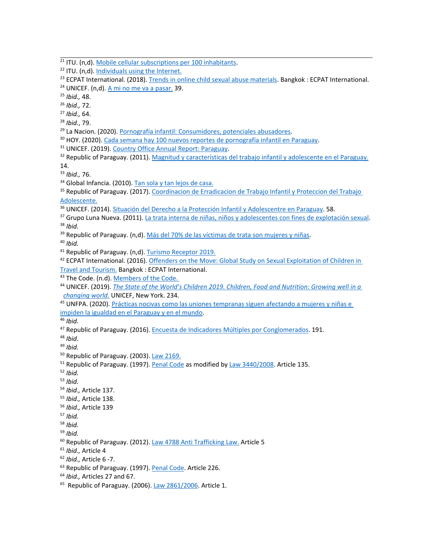- <sup>23</sup> ECPAT International. (2018). Trends in online child sexual abuse [materials](https://www.ecpat.org/wp-content/uploads/2018/07/ECPAT-International-Report-Trends-in-Online-Child-Sexual-Abuse-Material-2018.pdf). Bangkok : ECPAT International.
- <sup>24</sup> UNICEF. (n,d). <u>A mi no me va a [pasar.](https://www.conectateseguro.gov.py/wp-content/uploads/2018/01/2_A_mi_no_me_va_a_pasar_Investigacion_2016.pdf)</u> 39.

25 *Ibid.,* 48.

26 *Ibid.,* 72.

27 *Ibid.,* 64.

28 *Ibid.*, 79.

<sup>29</sup> La Nacion. (2020). Pornografía infantil: [Consumidores,](https://www.lanacion.com.py/pais/2020/03/09/pornografia-infantil-consumidores-potenciales-abusadores/) potenciales abusadores.

<sup>30</sup> HOY. (2020). Cada semana hay 100 nuevos reportes de [pornografía](https://www.hoy.com.py/nacionales/cada-semana-hay-100-nuevos-reportes-de-pornografia-infantil-en-paraguay) infantil en Paraguay.

<sup>31</sup> UNICEF. (2019). Country Office Annual Report: [Paraguay](https://www.unicef.org/about/annualreport/files/Paraguay-2019-COAR.pdf).

<sup>32</sup> Republic of Paraguay. (2011). Magnitud y [características](https://www.dgeec.gov.py/Publicaciones/Biblioteca/eana2011/Magnitud%20y%20caracteristicas%20del%20trabajo%20infantil%20y%20adolescente%20en%20el%20Paraguay.pdf) del trabajo infantil y adolescente en el Paraguay. 14.

33 *Ibid.,* 76.

<sup>34</sup> Global Infancia. (2010). <u>Tan sola y tan [lejos](https://studylib.es/doc/7055346/tan-sola-y-tan-lejos-de-casa) de casa.</u>

<sup>35</sup> Republic of Paraguay. (2017). [Coordinacion](https://informacionpublica.paraguay.gov.py/public/1207482-InformeRtaaConsultaCiudadanaN5029pdf-InformeRtaaConsultaCiudadanaN5029.pdf) de Erradicacion de Trabajo Infantil y Proteccion del Trabajo [Adolescente.](https://informacionpublica.paraguay.gov.py/public/1207482-InformeRtaaConsultaCiudadanaN5029pdf-InformeRtaaConsultaCiudadanaN5029.pdf)

- <sup>36</sup> UNICEF. (2014). <u>Situación del Derecho a la Protección Infantil y [Adolescentre](https://www.unicef.org/paraguay/sites/unicef.org.paraguay/files/2019-02/py_derecho_proteccion_1.pdf) en Paraguay</u>. 58.
- <sup>37</sup> Grupo Luna Nueva. (2011). La trata interna de niñas, niños y adolescentes con fines de [explotación](http://www.vuelalibre.info/wp-content/uploads/2019/04/2_Informe_trata-interna-1.pdf) sexual. 38 *Ibid.*
- <sup>39</sup> Republic of Paraguay. (n,d). <u>Más del 70% de las víctimas de trata son [mujeres](http://www.mujer.gov.py/index.php/noticias/mas-del-70-de-las-victimas-de-trata-son-mujeres-y-ninas?fbclid=IwAR3a_73_tz_IuC6hPQ4Cj97FoVDLo9hdp_ArnwHhtHWxmf4udIzxyfEV694) y niñas</u>.

40 *Ibid.*

- <sup>41</sup> Republic of Paraguay. (n,d). Turismo [Receptor](http://www.observatur.gov.py/application/files/1315/8401/3728/Turismo_Receptor_2019_-_Preliminar.jpg) 2019.
- <sup>42</sup> ECPAT International. (2016). <u>Offenders on the Move: Global Study on Sexual [Exploitation](https://www.ecpat.org/wp-content/uploads/2019/06/Offenders-on-the-move-Global-Study-on-the-Sexual-Exploitation-of-Children-in-Travel-and-Tourism.pdf) of Children in</u> Travel and [Tourism.](https://www.ecpat.org/wp-content/uploads/2019/06/Offenders-on-the-move-Global-Study-on-the-Sexual-Exploitation-of-Children-in-Travel-and-Tourism.pdf) Bangkok : ECPAT International.

<sup>43</sup> The Code. (n.d). <u>[Members](http://www.thecode.org/who-have-signed/members/) of the Code.</u>

<sup>44</sup> UNICEF. (2019). <u>The State of the World's Children 2019. [Children,](https://www.unicef.org/media/63016/file/SOWC-2019.pdf) Food and Nutrition: Growing well in a</u> *[changing](https://www.unicef.org/media/63016/file/SOWC-2019.pdf) world.* UNICEF, New York. 234.

<sup>45</sup> UNFPA. (2020). <u>Prácticas nocivas como las uniones [tempranas](https://paraguay.unfpa.org/es/news/pr%C3%A1cticas-nocivas-como-las-uniones-tempranas-siguen-afectando-mujeres-y-ni%C3%B1as-e-impiden-la) siguen afectando a mujeres y niñas e</u>

impiden la igualdad en el [Paraguay](https://paraguay.unfpa.org/es/news/pr%C3%A1cticas-nocivas-como-las-uniones-tempranas-siguen-afectando-mujeres-y-ni%C3%B1as-e-impiden-la) y en el mundo.

46 *Ibid.*

<sup>47</sup> Republic of Paraguay. (2016). Encuesta de Indicadores Múltiples por [Conglomerados](https://mics-surveys-prod.s3.amazonaws.com/MICS5/Latin%20America%20and%20Caribbean/Paraguay/2016/Final/Paraguay%202016%20MICS_Spanish.pdf). 191.

48 *Ibid*.

49 *Ibid.*

<sup>50</sup> Republic of Paraguay. (2003). Law [2169.](https://www.bacn.gov.py/leyes-paraguayas/4845/establece-la-mayoria-de-edad#:~:text=Art%C3%ADculo%201%C2%B0.,%E2%80%9CArt.&text=Este%20C%C3%B3digo%20reputa%20plenamente%20capaz,haya%20sido%20declarado%20incapaz%20judicialmente%E2%80%9D.)

<sup>51</sup> Republic of Paraguay. (1997). <u>[Penal](https://www.bacn.gov.py/leyes-paraguayas/3497/codigo-penal) Code</u> as modified by Law [3440/2008](https://www.bacn.gov.py/leyes-paraguayas/3485/ley-n-3440-modifica-varias-disposiciones-de-la-ley-n-116097-codigo-penal). Article 135.

52 *Ibid.*

- 53 *Ibid.*
- 54 *Ibid.,* Article 137.
- 55 *Ibid.,* Article 138.
- 56 *Ibid.,* Article 139

57 *Ibid.*

- 58 *Ibid.*
- 59 *Ibid.*

<sup>60</sup> Republic of Paraguay. (2012). Law 4788 Anti [Trafficking](https://www.bacn.gov.py/leyes-paraguayas/3158/ley-n-4788-integral-contra-la-trata-de-personas) Law. Article 5

- 61 *Ibid.,* Article 4
- 62 *Ibid.,* Article 6 -7.
- <sup>63</sup> Republic of Paraguay. (1997). <u>[Penal](https://www.bacn.gov.py/leyes-paraguayas/3497/codigo-penal) Code</u>. Article 226.
- 64 *Ibid.,* Articles 27 and 67.
- <sup>65</sup> Republic of Paraguay. (2006). Law [2861/2006](http://www.oas.org/juridico/spanish/cyb_par_ley_2861_2006.pdf). Article 1.

<sup>&</sup>lt;sup>21</sup> ITU. (n,d). Mobile cellular [subscriptions](https://www.itu.int/net4/ITU-D/icteye/#/topics/1002) per 100 inhabitants.

<sup>&</sup>lt;sup>22</sup> ITU. (n,d). <u>[Individuals](https://www.itu.int/net4/ITU-D/icteye/#/topics/2001) using the Internet</u>.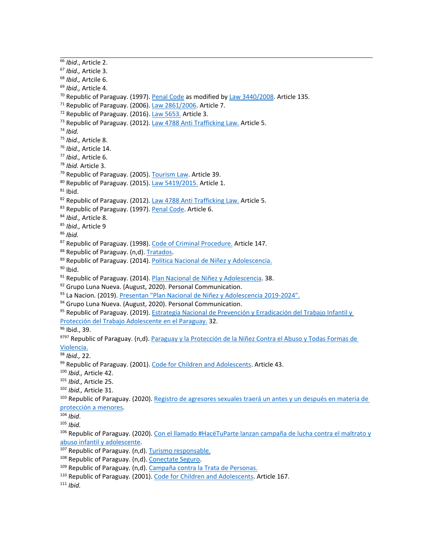66 *Ibid*., Article 2. 67 *Ibid.,* Article 3. 68 *Ibid.,* Artcile 6. 69 *Ibid.,* Article 4. <sup>70</sup> Republic of Paraguay. (1997). [Penal](https://www.bacn.gov.py/leyes-paraguayas/3497/codigo-penal) Code as modified by Law [3440/2008](https://www.bacn.gov.py/leyes-paraguayas/3485/ley-n-3440-modifica-varias-disposiciones-de-la-ley-n-116097-codigo-penal). Article 135. <sup>71</sup> Republic of Paraguay. (2006). Law [2861/2006](http://www.oas.org/juridico/spanish/cyb_par_ley_2861_2006.pdf). Article 7. <sup>72</sup> Republic of Paraguay. (2016). Law [5653.](https://www.bacn.gov.py/leyes-paraguayas/5167/ley-n-5653-proteccion-de-ninos-ninas-y-adolescentes-contra-contenidos-nocivos-de-internet) Article 3. <sup>73</sup> Republic of Paraguay. (2012). Law 4788 Anti [Trafficking](https://www.bacn.gov.py/leyes-paraguayas/3158/ley-n-4788-integral-contra-la-trata-de-personas) Law. Article 5. 74 *Ibid.* 75 *Ibid.,* Article 8. 76 *Ibid.,* Article 14. 77 *Ibid.,* Article 6. 78 *Ibid.* Article 3. <sup>79</sup> Republic of Paraguay. (2005). [Tourism](https://www.senatur.gov.py/application/files/2214/7921/9098/Ley_2828-2005_del_Turismo.pdf) Law. Article 39. <sup>80</sup> Republic of Paraguay. (2015). Law [5419/2015.](https://www.bacn.gov.py/leyes-paraguayas/4409/ley-n-5419-modifica-los-articulos-17-y-20-de-la-ley-n-192-de-reforma-parcial-del-codigo-civil) Article 1.  $^{81}$  Ibid. <sup>82</sup> Republic of Paraguay. (2012). Law 4788 Anti [Trafficking](https://www.bacn.gov.py/leyes-paraguayas/3158/ley-n-4788-integral-contra-la-trata-de-personas) Law. Article 5. <sup>83</sup> Republic of Paraguay. (1997). <u>[Penal](https://www.bacn.gov.py/leyes-paraguayas/3497/codigo-penal) Code</u>. Article 6. 84 *Ibid.,* Article 8. 85 *Ibid.,* Article 9 86 *Ibid.* <sup>87</sup> Republic of Paraguay. (1998). <u>Code of Criminal [Procedure.](https://www.bacn.gov.py/leyes-paraguayas/203/ley-n-1286-codigo-procesal-penal)</u> Article 147. <sup>88</sup> Republic of Paraguay. (n,d). [Tratados](https://www.mre.gov.py/tratados/public_web/tratados.aspx). <sup>89</sup> Republic of Paraguay. (2014). <u>Política Nacional de Niñez y [Adolescencia.](http://www.minna.gov.py/archivos/documentos/Manual%20POLNA%20-%20PNA_f93r3s8t.pdf)</u> <sup>90</sup> Ibid. <sup>91</sup> Republic of Paraguay. (2014). <u>Plan Nacional de Niñez y [Adolescencia](http://www.minna.gov.py/archivos/documentos/Manual%20POLNA%20-%20PNA_f93r3s8t.pdf)</u>. 38. <sup>92</sup> Grupo Luna Nueva. (August, 2020). Personal Communication. <sup>93</sup> La Nacion. (2019). <u>Presentan "Plan Nacional de Niñez y [Adolescencia](https://www.lanacion.com.py/pais/2019/12/12/presentan-plan-nacional-de-ninez-y-adolescencia-2019-2024/) 2019-2024".</u> <sup>94</sup> Grupo Luna Nueva. (August, 2020). Personal Communication. <sup>95</sup> Republic of Paraguay. (2019). <u>Estrategia Nacional de Prevención y [Erradicación](https://www.mtess.gov.py/application/files/9715/6926/1549/Estrategia_Nacional_-_para_impresion.pdf) del Trabajo Infantil y</u> Protección del Trabajo [Adolescente](https://www.mtess.gov.py/application/files/9715/6926/1549/Estrategia_Nacional_-_para_impresion.pdf) en el Paraguay. 32. <sup>96</sup> Ibid., 39. <sup>9797</sup> Republic of [Paraguay](https://violenceagainstchildren.un.org/sites/violenceagainstchildren.un.org/files/regions/paraguay_global_partnership_-_plan_pais_imprimir.pdf). (n,d). <u>Paraguay y la Protección de la Niñez Contra el Abuso y Todas Formas de</u> [Violencia.](https://violenceagainstchildren.un.org/sites/violenceagainstchildren.un.org/files/regions/paraguay_global_partnership_-_plan_pais_imprimir.pdf) 98 *Ibid.,* 22. 99 Republic of Paraguay. (2001). Code for Children and [Adolescents](https://www.bacn.gov.py/leyes-paraguayas/5261/codigo-de-la-ninez-y-la-adolescencia). Article 43. 100 *Ibid.,* Article 42. 101 *Ibid.,* Article 25. 102 *Ibid.,* Article 31. <sup>103</sup> Republic of Paraguay. (2020). <u>Registro de agresores sexuales traerá un antes y un [después](http://www.diputados.gov.py/ww5/index.php/noticias/registro-de-agresores-sexuales-traera-un-antes-y-un-despues-en-materia-de-proteccion-menores) en materia de</u> [protección](http://www.diputados.gov.py/ww5/index.php/noticias/registro-de-agresores-sexuales-traera-un-antes-y-un-despues-en-materia-de-proteccion-menores) <sup>a</sup> menores. 104 *Ibid*. 105 *Ibid.* <sup>106</sup> Republic of Paraguay. (2020). <u>Con el llamado [#HacéTuParte](https://www.ip.gov.py/ip/lanzan-campana-de-lucha-contra-el-maltrato-y-abuso-infantil-y-adolescente-el-llamado-hacetuparte/) lanzan campaña de lucha contra el maltrato y</u> abuso infantil y [adolescente](https://www.ip.gov.py/ip/lanzan-campana-de-lucha-contra-el-maltrato-y-abuso-infantil-y-adolescente-el-llamado-hacetuparte/). <sup>107</sup> Republic of Paraguay. (n,d). Turismo [responsable.](https://www.senatur.gov.py/campanas/no-al-turismo-sexual) <sup>108</sup> Republic of Paraguay. (n,d). [Conectate](https://www.conectateseguro.gov.py/portada/) Seguro. <sup>109</sup> Republic of Paraguay. (n,d). <u>[Campaña](http://www.mujer.gov.py/index.php/campanas/campana-contra-la-trata-de-personas) contra la Trata de Personas.</u> <sup>110</sup> Republic of Paraguay. (2001). <u>Code for Children and [Adolescents](https://www.bacn.gov.py/leyes-paraguayas/5261/codigo-de-la-ninez-y-la-adolescencia)</u>. Article 167. 111 *Ibid.*